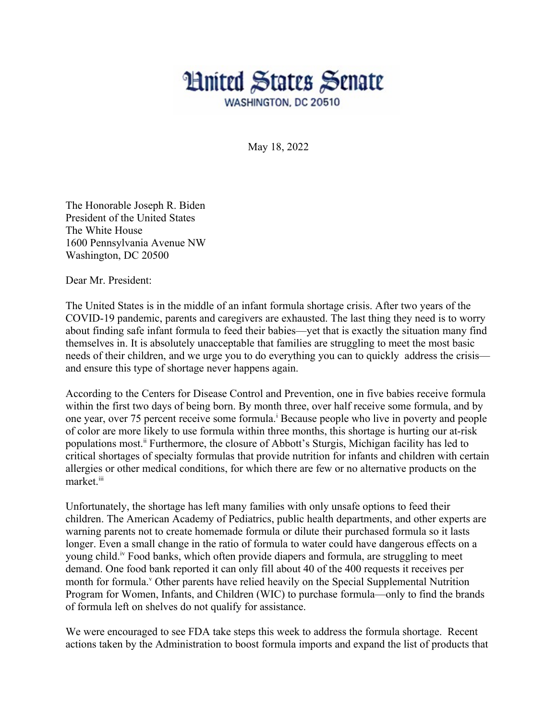

May 18, 2022

The Honorable Joseph R. Biden President of the United States The White House 1600 Pennsylvania Avenue NW Washington, DC 20500

Dear Mr. President:

The United States is in the middle of an infant formula shortage crisis. After two years of the COVID-19 pandemic, parents and caregivers are exhausted. The last thing they need is to worry about finding safe infant formula to feed their babies—yet that is exactly the situation many find themselves in. It is absolutely unacceptable that families are struggling to meet the most basic needs of their children, and we urge you to do everything you can to quickly address the crisis and ensure this type of shortage never happens again.

According to the Centers for Disease Control and Prevention, one in five babies receive formula within the first two days of being born. By month three, over half receive some formula, and by one vear, over 75 percent rece[i](#page--1-0)ve some formula.<sup>i</sup> Because people who live in poverty and people of color are more likely to use formula within three months, this shortage is hurting our at-risk populations most.<sup>[ii](#page--1-1)</sup> Furthermore, the closure of Abbott's Sturgis, Michigan facility has led to critical shortages of specialty formulas that provide nutrition for infants and children with certain allergies or other medical conditions, for which there are few or no alternative products on the market.<sup>[iii](#page--1-2)</sup>

Unfortunately, the shortage has left many families with only unsafe options to feed their children. The American Academy of Pediatrics, public health departments, and other experts are warning parents not to create homemade formula or dilute their purchased formula so it lasts longer. Even a small change in the ratio of formula to water could have dangerous effects on a young child.[iv](#page--1-3) Food banks, which often provide diapers and formula, are struggling to meet demand. One food bank reported it can only fill about 40 of the 400 requests it receives per month for formula.<sup>[v](#page--1-4)</sup> Other parents have relied heavily on the Special Supplemental Nutrition Program for Women, Infants, and Children (WIC) to purchase formula—only to find the brands of formula left on shelves do not qualify for assistance.

We were encouraged to see FDA take steps this week to address the formula shortage. Recent actions taken by the Administration to boost formula imports and expand the list of products that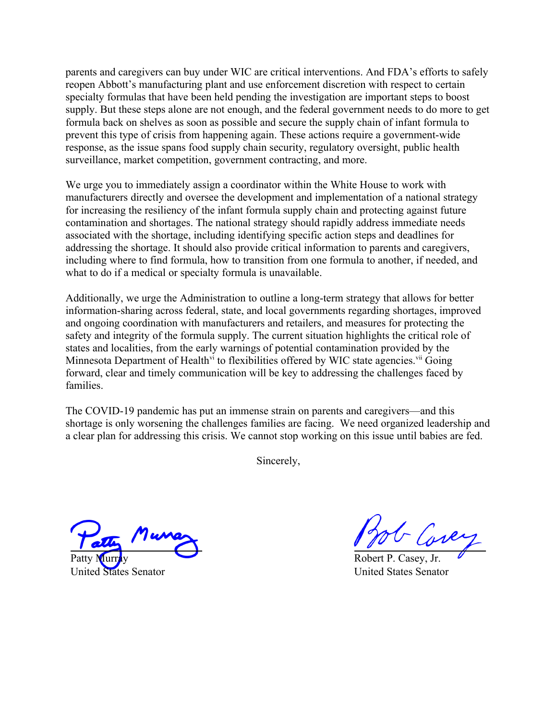parents and caregivers can buy under WIC are critical interventions. And FDA's efforts to safely reopen Abbott's manufacturing plant and use enforcement discretion with respect to certain specialty formulas that have been held pending the investigation are important steps to boost supply. But these steps alone are not enough, and the federal government needs to do more to get formula back on shelves as soon as possible and secure the supply chain of infant formula to prevent this type of crisis from happening again. These actions require a government-wide response, as the issue spans food supply chain security, regulatory oversight, public health surveillance, market competition, government contracting, and more.

We urge you to immediately assign a coordinator within the White House to work with manufacturers directly and oversee the development and implementation of a national strategy for increasing the resiliency of the infant formula supply chain and protecting against future contamination and shortages. The national strategy should rapidly address immediate needs associated with the shortage, including identifying specific action steps and deadlines for addressing the shortage. It should also provide critical information to parents and caregivers, including where to find formula, how to transition from one formula to another, if needed, and what to do if a medical or specialty formula is unavailable.

Additionally, we urge the Administration to outline a long-term strategy that allows for better information-sharing across federal, state, and local governments regarding shortages, improved and ongoing coordination with manufacturers and retailers, and measures for protecting the safety and integrity of the formula supply. The current situation highlights the critical role of states and localities, from the early warnings of potential contamination provided by the Minnesota Department of Health<sup>[vi](#page--1-5)</sup> to flexibilities offered by WIC state agencies.<sup>[vii](#page--1-6)</sup> Going forward, clear and timely communication will be key to addressing the challenges faced by families.

The COVID-19 pandemic has put an immense strain on parents and caregivers—and this shortage is only worsening the challenges families are facing. We need organized leadership and a clear plan for addressing this crisis. We cannot stop working on this issue until babies are fed.

Sincerely,

Patty Murray

United States Senator

- Core

Robert P. Casey, Jr. United States Senator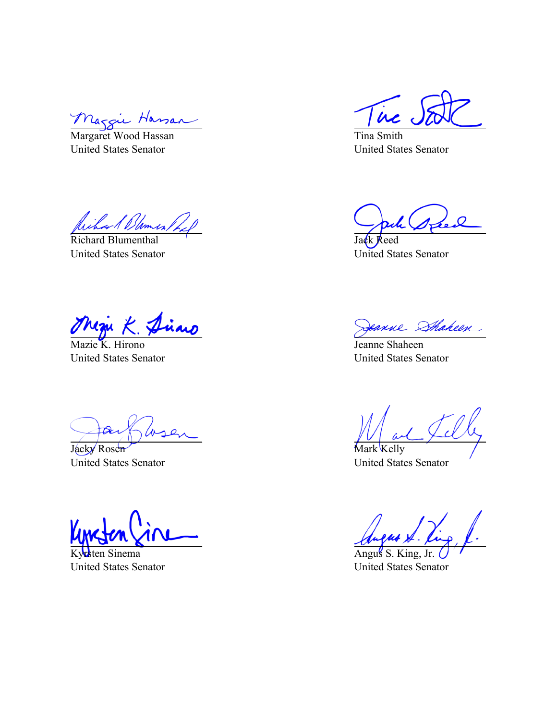Maggie Hassan  $\overline{\phantom{0}}$ 

Margaret Wood Hassan United States Senator

James,

Richard Blumenthal United States Senator

Mazie K. Hirono United States Senator

Jacky Rosen United States Senator

Kyrsten Sinema United States Senator

in

Tina Smith United States Senator

 $\boldsymbol{l}$ 

Jack Reed United States Senator

Jeanne Shakeen

Jeanne Shaheen United States Senator

Mark Kelly United States Senator

Angus S. King, Jr.

United States Senator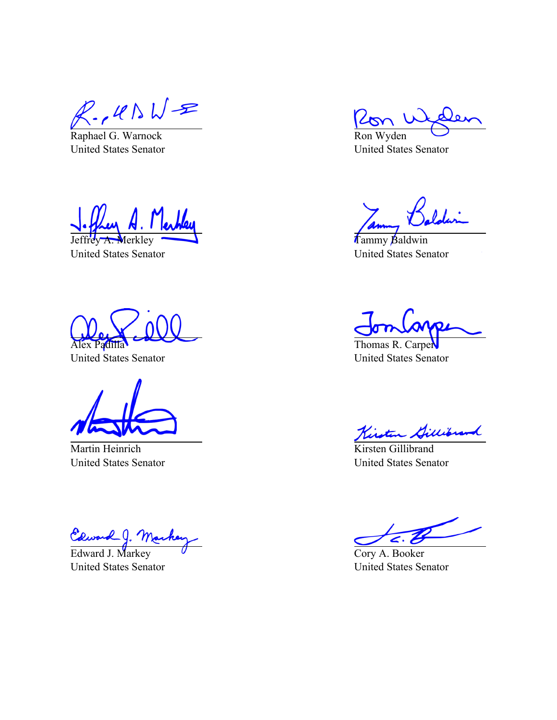$R.\, \mu \wedge \sqrt{2}$ <br>Raphael G. Warnock

United States Senator

Merkley

United States Senator

Alex Padilla

United States Senator

Martin Heinrich United States Senator

Edward J. Ma

United States Senator

Ron Wyden United States Senator

Tammy Baldwin United States Senator

Thomas R. Carper United States Senator

Kinston Gillibrand

Kirsten Gillibrand United States Senator

Cory A. Booker United States Senator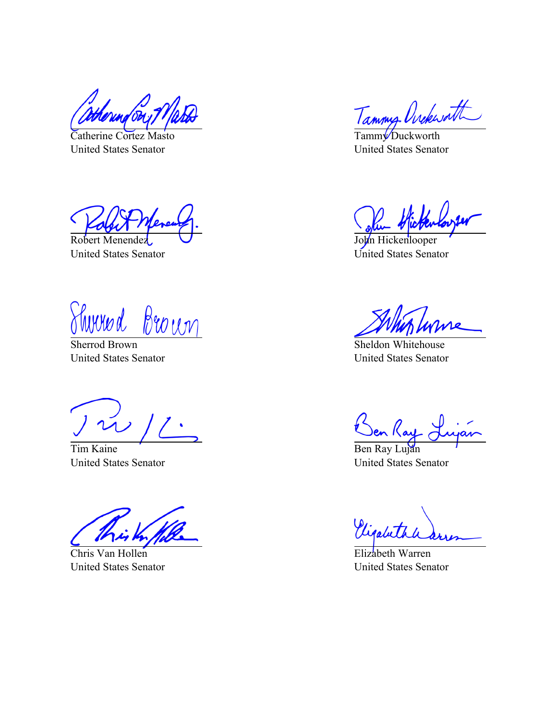Catherine Cortez Masto United States Senator

Robert Menendez United States Senator

<u>Sherrod Brown</u> huvuo d

United States Senator

Tim Kaine United States Senator

Chris Van Hollen United States Senator

Tammy Ovekwatt

Tammy Duckworth United States Senator

John Hickenlooper United States Senator

Sheldon Whitehouse United States Senator

Den Kay

Ben Ray Luján United States Senator

Vigalut

Elizabeth Warren United States Senator